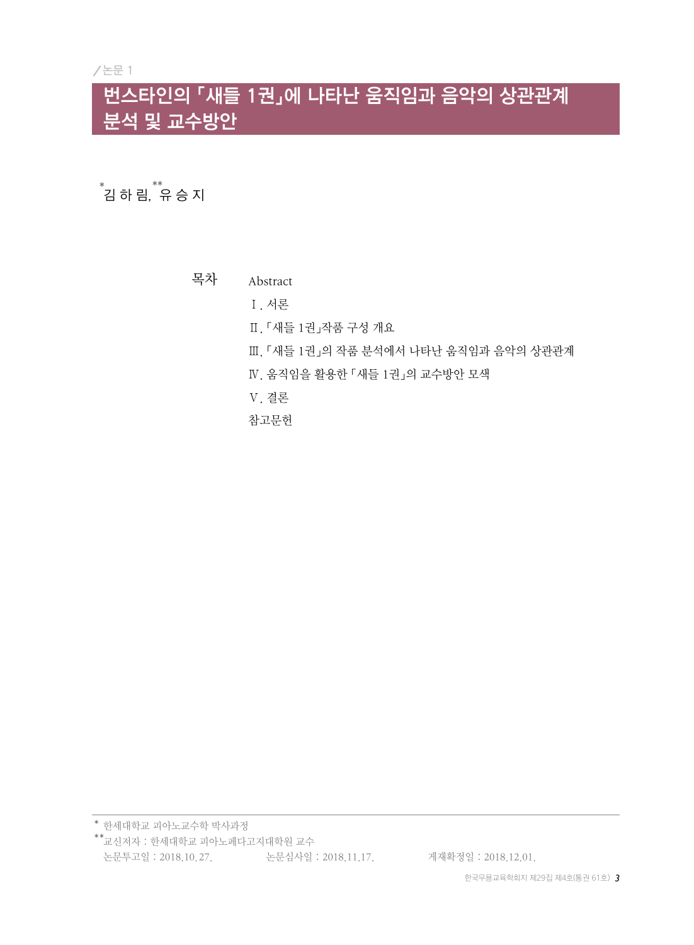### 번스타인의 「새들 1권」에 나타난 움직임과 음악의 상관관계 분석 및 교수방안

\*<br><sup>\*</sup>김 하 림, <sup>\*\*</sup>

목차 Abstract

Ⅰ. 서론

- Ⅱ. 「새들 1권」작품 구성 개요
- Ⅲ. 「새들 1권」의 작품 분석에서 나타난 움직임과 음악의 상관관계
- Ⅳ. 움직임을 활용한 「새들 1권」의 교수방안 모색
- Ⅴ. 결론

참고문헌

한세대학교 피아노교수학 박사과정 \* 교신저자 : 한세대학교 피아노페다고지대학원 교수 \* \*논문투고일 : 2018.10.27. 논문심사일 : 2018.11.17. 게재확정일 : 2018.12.01.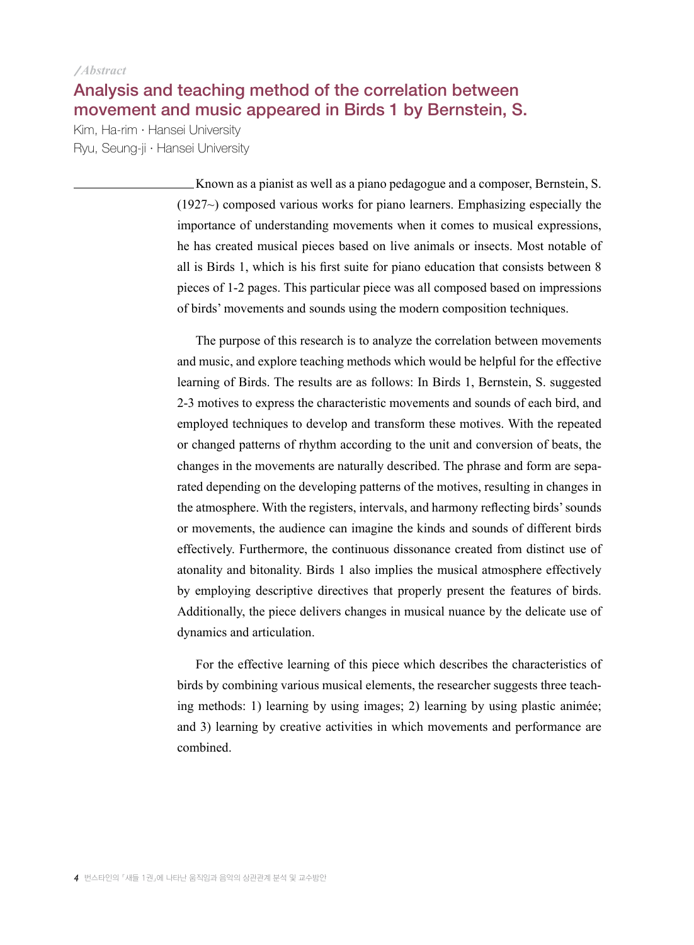#### *Abstract*

#### Analysis and teaching method of the correlation between movement and music appeared in Birds 1 by Bernstein, S.

Kim, Ha-rim · Hansei University Ryu, Seung-ji · Hansei University

> Known as a pianist as well as a piano pedagogue and a composer, Bernstein, S. (1927~) composed various works for piano learners. Emphasizing especially the importance of understanding movements when it comes to musical expressions, he has created musical pieces based on live animals or insects. Most notable of all is Birds 1, which is his first suite for piano education that consists between 8 pieces of 1-2 pages. This particular piece was all composed based on impressions of birds' movements and sounds using the modern composition techniques.

> The purpose of this research is to analyze the correlation between movements and music, and explore teaching methods which would be helpful for the effective learning of Birds. The results are as follows: In Birds 1, Bernstein, S. suggested 2-3 motives to express the characteristic movements and sounds of each bird, and employed techniques to develop and transform these motives. With the repeated or changed patterns of rhythm according to the unit and conversion of beats, the changes in the movements are naturally described. The phrase and form are separated depending on the developing patterns of the motives, resulting in changes in the atmosphere. With the registers, intervals, and harmony reflecting birds' sounds or movements, the audience can imagine the kinds and sounds of different birds effectively. Furthermore, the continuous dissonance created from distinct use of atonality and bitonality. Birds 1 also implies the musical atmosphere effectively by employing descriptive directives that properly present the features of birds. Additionally, the piece delivers changes in musical nuance by the delicate use of dynamics and articulation.

> For the effective learning of this piece which describes the characteristics of birds by combining various musical elements, the researcher suggests three teaching methods: 1) learning by using images; 2) learning by using plastic animée; and 3) learning by creative activities in which movements and performance are combined.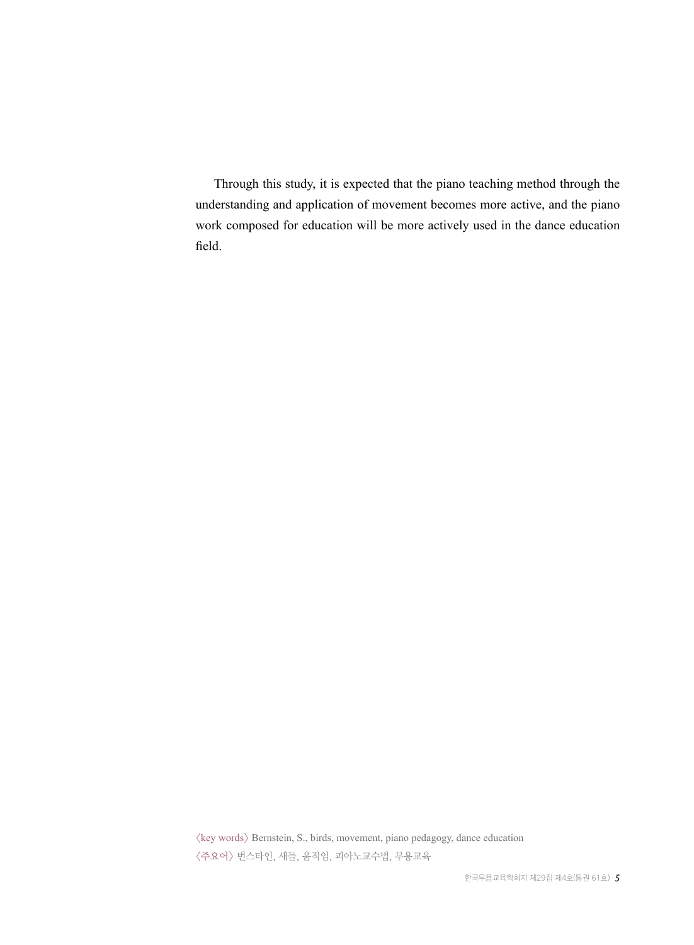Through this study, it is expected that the piano teaching method through the understanding and application of movement becomes more active, and the piano work composed for education will be more actively used in the dance education field.

 $\langle$ key words $\rangle$  Bernstein, S., birds, movement, piano pedagogy, dance education <주요어> 번스타인, 새들, 움직임, 피아노교수법, 무용교육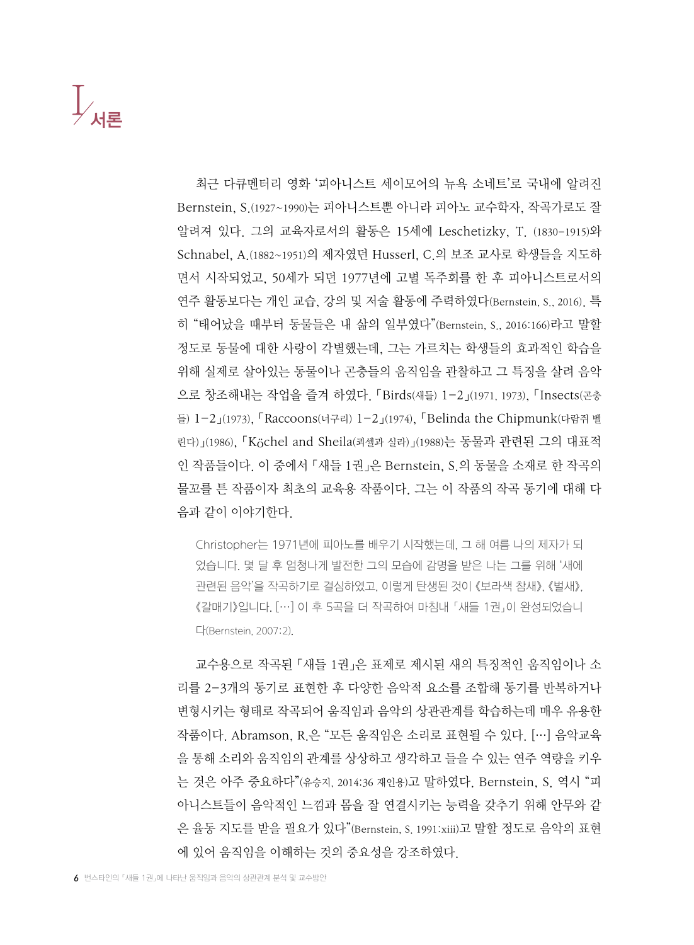### $\int_{\Lambda}$ 서론

최근 다큐멘터리 영화 '피아니스트 세이모어의 뉴욕 소네트'로 국내에 알려진 Bernstein, S.(1927~1990)는 피아니스트뿐 아니라 피아노 교수학자, 작곡가로도 잘 알려져 있다. 그의 교육자로서의 활동은 15세에 Leschetizky, T. (1830-1915)와 Schnabel, A.(1882~1951)의 제자였던 Husserl, C.의 보조 교사로 학생들을 지도하 면서 시작되었고, 50세가 되던 1977년에 고별 독주회를 한 후 피아니스트로서의 연주 활동보다는 개인 교습, 강의 및 저술 활동에 주력하였다(Bernstein, S., 2016). 특 히 "태어났을 때부터 동물들은 내 삶의 일부였다"(Bernstein, S., 2016:166)라고 말할 정도로 동물에 대한 사랑이 각별했는데, 그는 가르치는 학생들의 효과적인 학습을 위해 실제로 살아있는 동물이나 곤충들의 움직임을 관찰하고 그 특징을 살려 음악 으로 창조해내는 작업을 즐겨 하였다. 「Birds(새들) 1-2」(1971, 1973), 「Insects(곤충 들) 1-2」(1973), 「Raccoons(너구리) 1-2」(1974), 「Belinda the Chipmunk(다람쥐 벨 린다)」(1986), 「Köchel and Sheila(쾨셀과 실라)」(1988)는 동물과 관련된 그의 대표적 인 작품들이다. 이 중에서 「새들 1권」은 Bernstein, S.의 동물을 소재로 한 작곡의 물꼬를 튼 작품이자 최초의 교육용 작품이다. 그는 이 작품의 작곡 동기에 대해 다 음과 같이 이야기한다.

Christopher는 1971년에 피아노를 배우기 시작했는데, 그 해 여름 나의 제자가 되 었습니다. 몇 달 후 엄청나게 발전한 그의 모습에 감명을 받은 나는 그를 위해 '새에 관련된 음악'을 작곡하기로 결심하였고, 이렇게 탄생된 것이 《보라색 참새》, 《벌새》, 《갈매기》입니다. […] 이 후 5곡을 더 작곡하여 마침내 「새들 1권」이 완성되었습니 다(Bernstein, 2007:2).

교수용으로 작곡된 「새들 1권」은 표제로 제시된 새의 특징적인 움직임이나 소 리를 2-3개의 동기로 표현한 후 다양한 음악적 요소를 조합해 동기를 반복하거나 변형시키는 형태로 작곡되어 움직임과 음악의 상관관계를 학습하는데 매우 유용한 작품이다. Abramson, R.은 "모든 움직임은 소리로 표현될 수 있다. […] 음악교육 을 통해 소리와 움직임의 관계를 상상하고 생각하고 들을 수 있는 연주 역량을 키우 는 것은 아주 중요하다"(유승지, 2014:36 재인용)고 말하였다. Bernstein, S. 역시 "피 아니스트들이 음악적인 느낌과 몸을 잘 연결시키는 능력을 갖추기 위해 안무와 같 은 율동 지도를 받을 필요가 있다"(Bernstein, S. 1991:xiii)고 말할 정도로 음악의 표현 에 있어 움직임을 이해하는 것의 중요성을 강조하였다.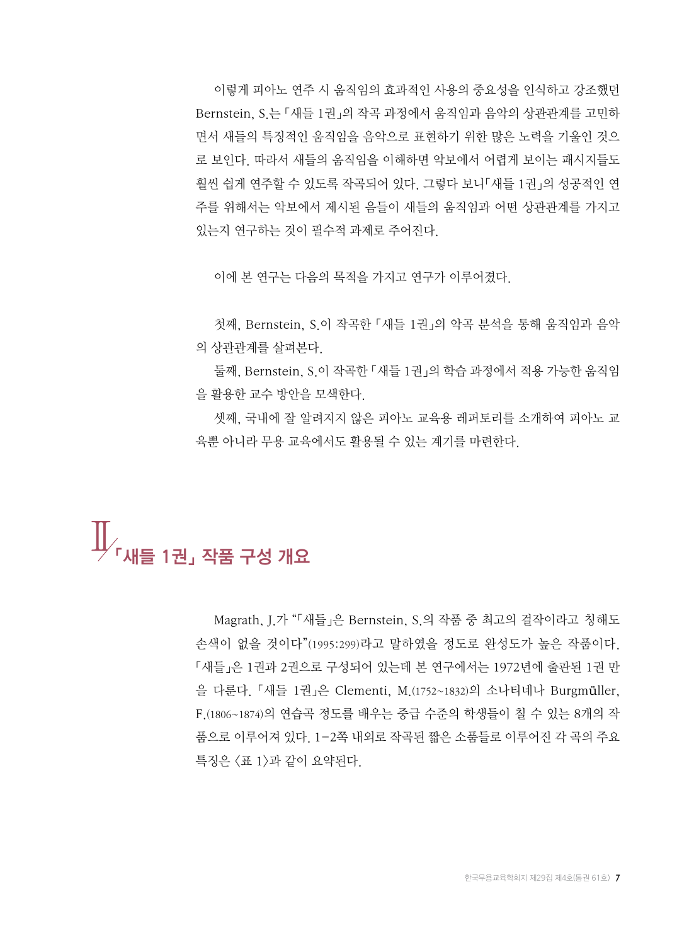이렇게 피아노 연주 시 움직임의 효과적인 사용의 중요성을 인식하고 강조했던 Bernstein, S.는 「새들 1권」의 작곡 과정에서 움직임과 음악의 상관관계를 고민하 면서 새들의 특징적인 움직임을 음악으로 표현하기 위한 많은 노력을 기울인 것으 로 보인다. 따라서 새들의 움직임을 이해하면 악보에서 어렵게 보이는 패시지들도 훨씬 쉽게 연주할 수 있도록 작곡되어 있다. 그렇다 보니「새들 1권」의 성공적인 연 주를 위해서는 악보에서 제시된 음들이 새들의 움직임과 어떤 상관관계를 가지고 있는지 연구하는 것이 필수적 과제로 주어진다.

이에 본 연구는 다음의 목적을 가지고 연구가 이루어졌다.

첫째, Bernstein, S.이 작곡한 「새들 1권」의 악곡 분석을 통해 움직임과 음악 의 상관관계를 살펴본다.

둘째, Bernstein, S.이 작곡한 「새들 1권」의 학습 과정에서 적용 가능한 움직임 을 활용한 교수 방안을 모색한다.

셋째, 국내에 잘 알려지지 않은 피아노 교육용 레퍼토리를 소개하여 피아노 교 육뿐 아니라 무용 교육에서도 활용될 수 있는 계기를 마련한다.

# <mark>∬</mark><br>⊮<sub>「새들 1권」 작품 구성 개요</sub>

Magrath, J.가 "「새들」은 Bernstein, S.의 작품 중 최고의 걸작이라고 칭해도 손색이 없을 것이다"(1995:299)라고 말하였을 정도로 완성도가 높은 작품이다. 「새들」은 1권과 2권으로 구성되어 있는데 본 연구에서는 1972년에 출판된 1권 만 을 다룬다. 「새들 1권」은 Clementi, M.(1752~1832)의 소나티네나 Burgmüller, F.(1806~1874)의 연습곡 정도를 배우는 중급 수준의 학생들이 칠 수 있는 8개의 작 품으로 이루어져 있다. 1-2쪽 내외로 작곡된 짧은 소품들로 이루어진 각 곡의 주요 특징은 <표 1>과 같이 요약된다.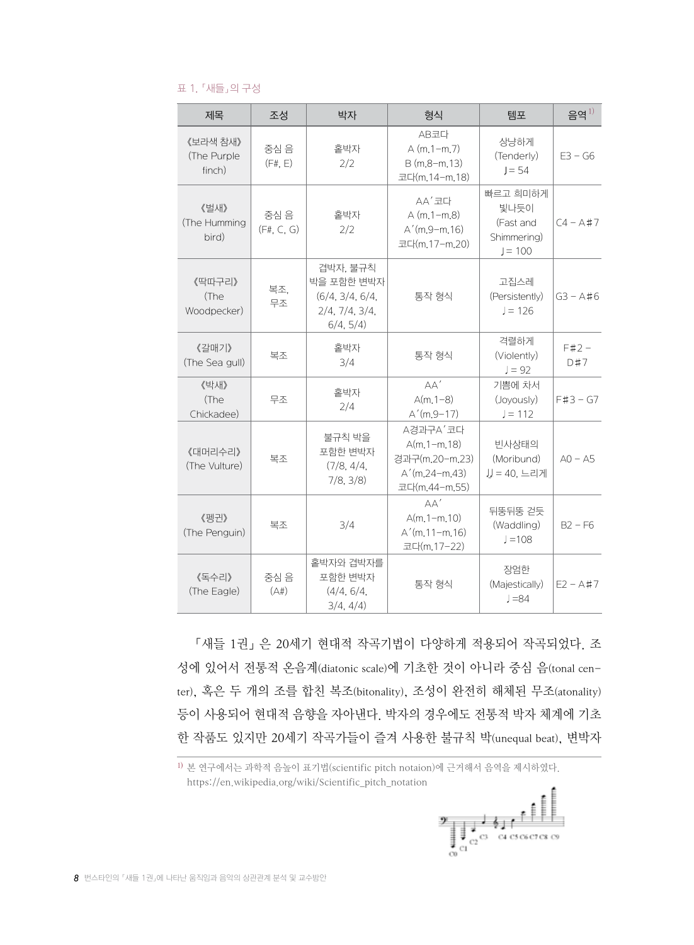#### 표 1. 「새들」의 구성

| 제목                                         | 조성                 | 박자                                                                       | 형식                                                                                | 템포                                                        | 음역 $^{1)}$     |
|--------------------------------------------|--------------------|--------------------------------------------------------------------------|-----------------------------------------------------------------------------------|-----------------------------------------------------------|----------------|
| 《보라색 참새》<br>(The Purple<br>finch)          | 중심 음<br>(F# E)     | 홑박자<br>2/2                                                               | AB코다<br>$A(m, 1-m, 7)$<br>$B(m.8-m.13)$<br>코다(m.14-m.18)                          | 상냥하게<br>(Tenderly)<br>$J = 54$                            | $E3 - G6$      |
| 《벌새》<br>(The Humming<br>bird)              | 중심 음<br>(F#, C, G) | 홑박자<br>2/2                                                               | AA'코다<br>$A(m.1-m.8)$<br>$A'(m.9-m.16)$<br>코다(m.17-m.20)                          | 빠르고 희미하게<br>빛나듯이<br>(Fast and<br>Shimmering)<br>$J = 100$ | $C4 - A#7$     |
| 《딱따구리》<br>복조.<br>(The<br>무조<br>Woodpecker) |                    | 겹박자. 불규칙<br>박을 포함한 변박자<br>(6/4, 3/4, 6/4)<br>2/4, 7/4, 3/4,<br>6/4, 5/4) | 통작 형식                                                                             | 고집스레<br>(Persistently)<br>$J = 126$                       | $G3 - A \# 6$  |
| 《갈매기》<br>(The Sea gull)                    | 복조                 | 홑박자<br>3/4                                                               | 통작 형식                                                                             | 격렬하게<br>(Violently)<br>$J = 92$                           | $F#2 -$<br>D#7 |
| 《박새》<br>(The<br>Chickadee)                 | 무조                 | 홑박자<br>2/4                                                               | AA'<br>$A(m.1-8)$<br>$A'(m.9-17)$                                                 | 기쁨에 차서<br>(Joyously)<br>$J = 112$                         | $F#3 - G7$     |
| 《대머리수리》<br>(The Vulture)                   | 복조                 | 불규칙 박을<br>포함한 변박자<br>(7/8, 4/4,<br>7/8, 3/8)                             | A경과구A'코다<br>$A(m.1 - m.18)$<br>경과구(m.20-m.23)<br>$A'(m.24-m.43)$<br>코다(m.44-m.55) | 빈사상태의<br>(Moribund)<br>JJ = 40. 느리게                       | $AO - AS$      |
| 《펭귀》<br>(The Penguin)                      | 복조                 | 3/4                                                                      | AA'<br>$A(m.1 - m.10)$<br>$A'(m.11-m.16)$<br>코다(m.17-22)                          | 뒤뚱뒤뚱 걷듯<br>(Waddling)<br>$l = 108$                        | $B2 - F6$      |
| 《독수리》<br>(The Eagle)                       | 중심 음<br>(A#)       | 홑박자와 겹박자를<br>포함한 변박자<br>(4/4, 6/4)<br>3/4, 4/4)                          | 통작 형식                                                                             | 장엄한<br>(Majestically)<br>$J = 84$                         | $E2 - A#7$     |

「새들 1권」 은 20세기 현대적 작곡기법이 다양하게 적용되어 작곡되었다. 조 성에 있어서 전통적 온음계(diatonic scale)에 기초한 것이 아니라 중심 음(tonal center), 혹은 두 개의 조를 합친 복조(bitonality), 조성이 완전히 해체된 무조(atonality) 등이 사용되어 현대적 음향을 자아낸다. 박자의 경우에도 전통적 박자 체계에 기초 한 작품도 있지만 20세기 작곡가들이 즐겨 사용한 불규칙 박(unequal beat), 변박자

1) 본 연구에서는 과학적 음높이 표기법(scientific pitch notaion)에 근거해서 음역을 제시하였다. https://en.wikipedia.org/wiki/Scientific\_pitch\_notation



*8* 번스타인의 「새들 1권」에 나타난 움직임과 음악의 상관관계 분석 및 교수방안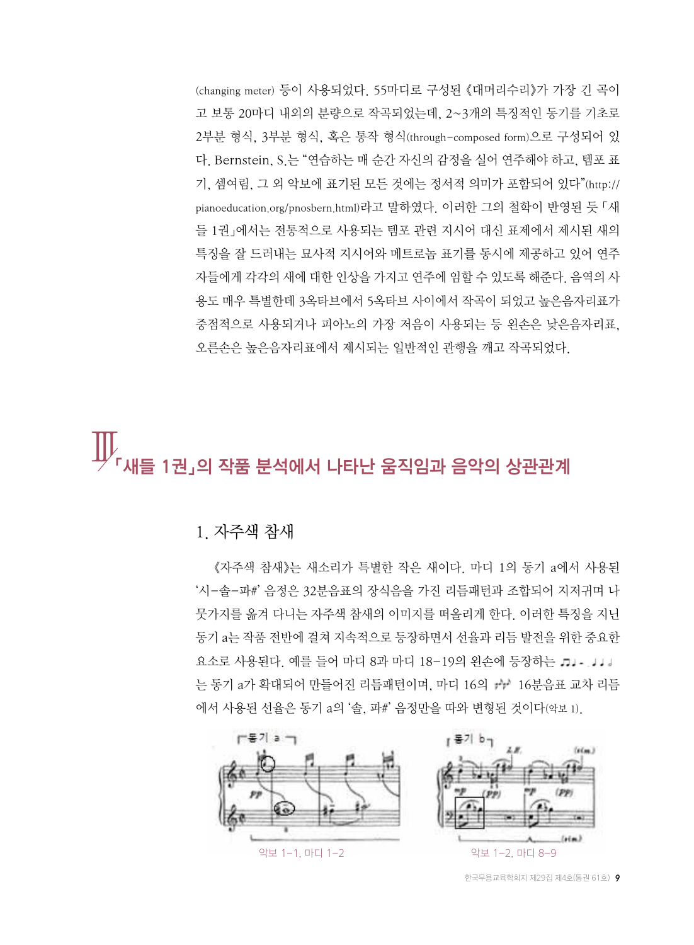(changing meter) 등이 사용되었다. 55마디로 구성된 《대머리수리》가 가장 긴 곡이 고 보통 20마디 내외의 분량으로 작곡되었는데, 2~3개의 특징적인 동기를 기초로 2부분 형식, 3부분 형식, 혹은 통작 형식(through-composed form)으로 구성되어 있 다. Bernstein, S.는 "연습하는 매 순간 자신의 감정을 실어 연주해야 하고, 템포 표 기, 셈여림, 그 외 악보에 표기된 모든 것에는 정서적 의미가 포함되어 있다"(http:// pianoeducation.org/pnosbern.html)라고 말하였다. 이러한 그의 철학이 반영된 듯 「새 들 1권」에서는 전통적으로 사용되는 템포 관련 지시어 대신 표제에서 제시된 새의 특징을 잘 드러내는 묘사적 지시어와 메트로놈 표기를 동시에 제공하고 있어 연주 자들에게 각각의 새에 대한 인상을 가지고 연주에 임할 수 있도록 해준다. 음역의 사 용도 매우 특별한데 3옥타브에서 5옥타브 사이에서 작곡이 되었고 높은음자리표가 중점적으로 사용되거나 피아노의 가장 저음이 사용되는 등 왼손은 낮은음자리표, 오른손은 높은음자리표에서 제시되는 일반적인 관행을 깨고 작곡되었다.

## 1권 이 작품 분석에서 나타난 움직임과 음악의 상관관계

#### 1. 자주색 참새

《자주색 참새》는 새소리가 특별한 작은 새이다. 마디 1의 동기 a에서 사용된 '시-솔-파#' 음정은 32분음표의 장식음을 가진 리듬패턴과 조합되어 지저귀며 나 뭇가지를 옮겨 다니는 자주색 참새의 이미지를 떠올리게 한다. 이러한 특징을 지닌 동기 a는 작품 전반에 걸쳐 지속적으로 등장하면서 선율과 리듬 발전을 위한 중요한 요소로 사용된다. 예를 들어 마디 8과 마디 18-19의 왼손에 등장하는 ♬↓- ↓↓↓ 는 동기 a가 확대되어 만들어진 리듬패턴이며, 마디 16의 ᠇᠇ 16분음표 교차 리듬 에서 사용된 선율은 동기 a의 '솔, 파#' 음정만을 따와 변형된 것이다(악보 1).

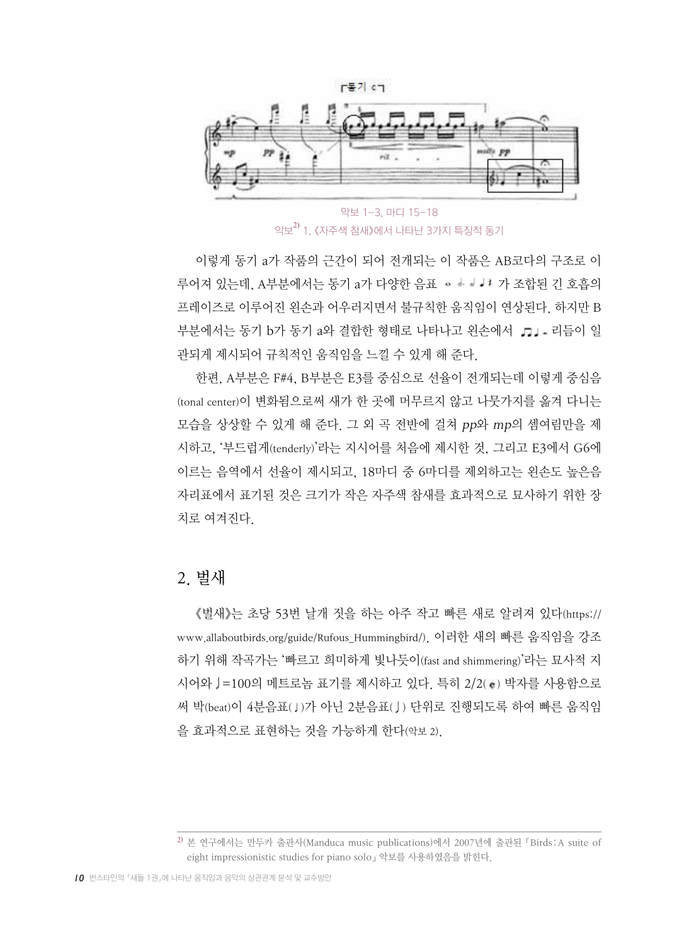

악보 1-3. 마디 15-18 악보 $^{2)}$  1. 《자주색 참새》에서 나타난 3가지 특징적 동기

이렇게 동기 a가 작품의 근간이 되어 전개되는 이 작품은 AB코다의 구조로 이 루어져 있는데, A부분에서는 동기 a가 다양한 음표 아 하 하나 가 조합된 긴 호흡의 프레이즈로 이루어진 왼손과 어우러지면서 불규칙한 움직임이 연상된다. 하지만 B 부분에서는 동기 b가 동기 a와 결합한 형태로 나타나고 위손에서 .n . - 리듬이 일 관되게 제시되어 규칙적인 움직임을 느낄 수 있게 해 준다.

한편, A부분은 F#4, B부분은 E3를 중심으로 선율이 전개되는데 이렇게 중심음 (tonal center)이 변화됨으로써 새가 한 곳에 머무르지 않고 나뭇가지를 옮겨 다니는 모습을 상상할 수 있게 해 준다. 그 외 곡 전반에 걸쳐 pp와 mp의 셈여림만을 제 시하고, '부드럽게(tenderly)'라는 지시어를 처음에 제시한 것, 그리고 E3에서 G6에 이르는 음역에서 선율이 제시되고, 18마디 중 6마디를 제외하고는 왼손도 높은음 자리표에서 표기된 것은 크기가 작은 자주색 참새를 효과적으로 묘사하기 위한 장 치로 여겨진다.

#### 2. 벌새

《벌새》는 초당 53번 날개 짓을 하는 아주 작고 빠른 새로 알려져 있다(https:// www.allaboutbirds.org/guide/Rufous\_Hummingbird/). 이러한 새의 빠른 움직임을 강조 하기 위해 작곡가는 '빠르고 희미하게 빛나듯이(fast and shimmering)'라는 묘사적 지 시어와 J=100의 메트로놈 표기를 제시하고 있다. 특히 2/2(。) 박자를 사용함으로 써 박(beat)이 4분음표(♩)가 아닌 2분음표( ) 단위로 진행되도록 하여 빠른 움직임 을 효과적으로 표현하는 것을 가능하게 한다(악보 2).

<sup>2)</sup> 본 연구에서는 만두카 출판사(Manduca music publications)에서 2007년에 출판된 「Birds: A suite of eight impressionistic studies for piano solo」 악보를 사용하였음을 밝힌다.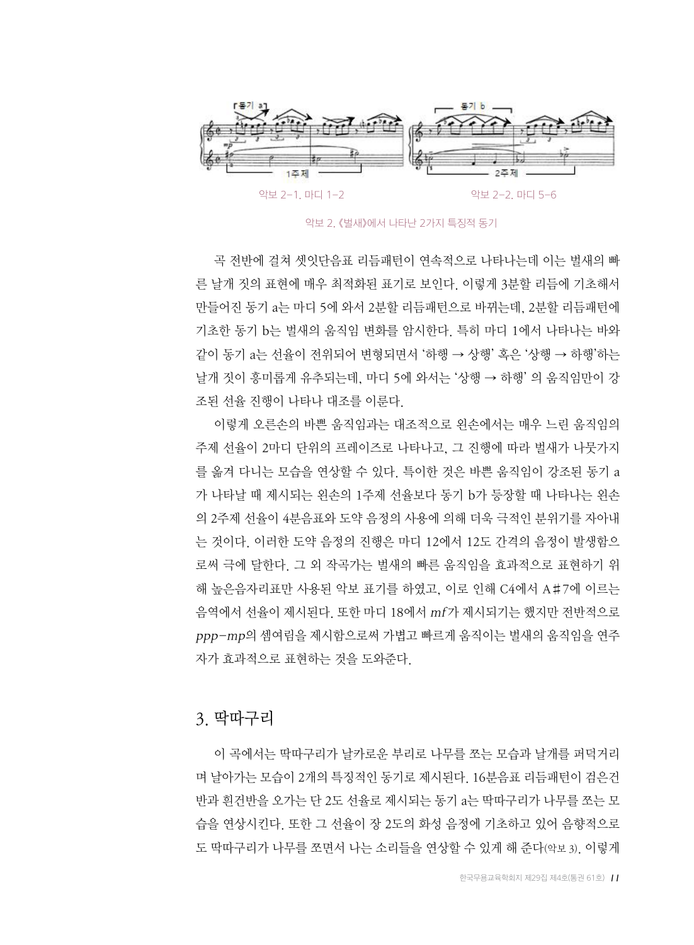

악보 2. 《벌새》에서 나타난 2가지 특징적 동기

곡 전반에 걸쳐 셋잇단음표 리듬패턴이 연속적으로 나타나는데 이는 벌새의 빠 른 날개 짓의 표현에 매우 최적화된 표기로 보인다. 이렇게 3분할 리듬에 기초해서 만들어진 동기 a는 마디 5에 와서 2분할 리듬패턴으로 바뀌는데, 2분할 리듬패턴에 기초한 동기 b는 벌새의 움직임 변화를 암시한다. 특히 마디 1에서 나타나는 바와 같이 동기 a는 선율이 전위되어 변형되면서 '하행 → 상행' 혹은 '상행 → 하행'하는 날개 짓이 흥미롭게 유추되는데, 마디 5에 와서는 '상행 → 하행' 의 움직임만이 강 조된 선율 진행이 나타나 대조를 이룬다.

이렇게 오른손의 바쁜 움직임과는 대조적으로 왼손에서는 매우 느린 움직임의 주제 선율이 2마디 단위의 프레이즈로 나타나고, 그 진행에 따라 벌새가 나뭇가지 를 옮겨 다니는 모습을 연상할 수 있다. 특이한 것은 바쁜 움직임이 강조된 동기 a 가 나타날 때 제시되는 왼손의 1주제 선율보다 동기 b가 등장할 때 나타나는 왼손 의 2주제 선율이 4분음표와 도약 음정의 사용에 의해 더욱 극적인 분위기를 자아내 는 것이다. 이러한 도약 음정의 진행은 마디 12에서 12도 간격의 음정이 발생함으 로써 극에 달한다. 그 외 작곡가는 벌새의 빠른 움직임을 효과적으로 표현하기 위 해 높은음자리표만 사용된 악보 표기를 하였고, 이로 인해 C4에서 A♯7에 이르는 음역에서 선율이 제시된다. 또한 마디 18에서 mf가 제시되기는 했지만 전반적으로 ppp-mp의 셈여림을 제시함으로써 가볍고 빠르게 움직이는 벌새의 움직임을 연주 자가 효과적으로 표현하는 것을 도와준다.

#### 3. 딱따구리

이 곡에서는 딱따구리가 날카로운 부리로 나무를 쪼는 모습과 날개를 퍼덕거리 며 날아가는 모습이 2개의 특징적인 동기로 제시된다. 16분음표 리듬패턴이 검은건 반과 흰건반을 오가는 단 2도 선율로 제시되는 동기 a는 딱따구리가 나무를 쪼는 모 습을 연상시킨다. 또한 그 선율이 장 2도의 화성 음정에 기초하고 있어 음향적으로 도 딱따구리가 나무를 쪼면서 나는 소리들을 연상할 수 있게 해 준다(악보 3). 이렇게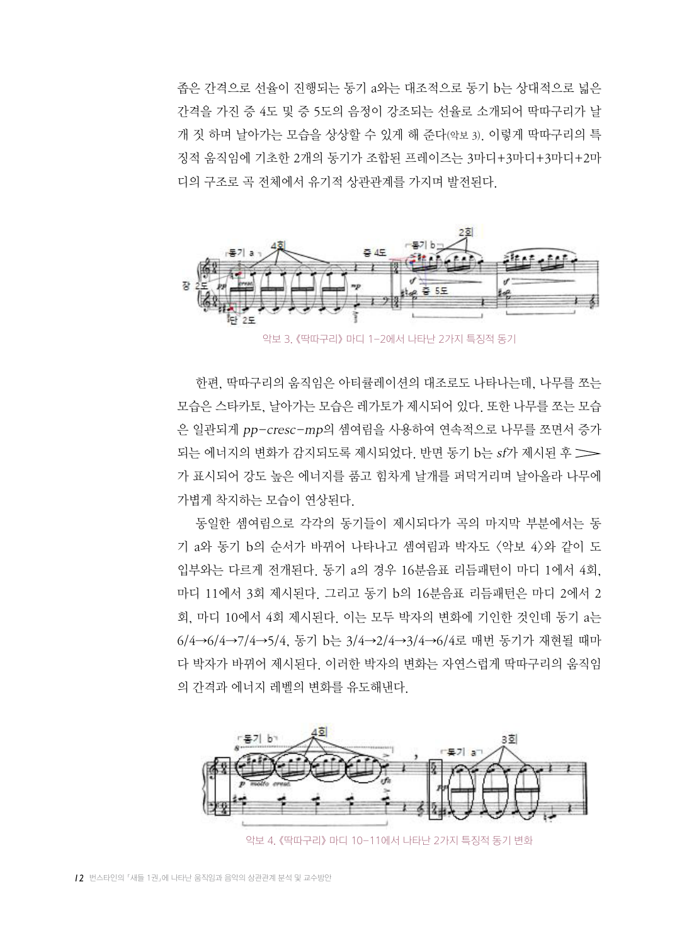좁은 간격으로 선율이 진행되는 동기 a와는 대조적으로 동기 b는 상대적으로 넓은 간격을 가진 증 4도 및 증 5도의 음정이 강조되는 선율로 소개되어 딱따구리가 날 개 짓 하며 날아가는 모습을 상상할 수 있게 해 준다(악보 3). 이렇게 딱따구리의 특 징적 움직임에 기초한 2개의 동기가 조합된 프레이즈는 3마디+3마디+3마디+2마 디의 구조로 곡 전체에서 유기적 상관관계를 가지며 발전된다.



악보 3. 《딱따구리》 마디 1-2에서 나타난 2가지 특징적 동기

한편, 딱따구리의 움직임은 아티큘레이션의 대조로도 나타나는데, 나무를 쪼는 모습은 스타카토, 날아가는 모습은 레가토가 제시되어 있다. 또한 나무를 쪼는 모습 은 일관되게 pp-cresc-mp의 셈여림을 사용하여 연속적으로 나무를 쪼면서 증가 되는 에너지의 변화가 감지되도록 제시되었다. 반면 동기 b는 sf가 제시된 후 가 표시되어 강도 높은 에너지를 품고 힘차게 날개를 퍼덕거리며 날아올라 나무에 가볍게 착지하는 모습이 연상된다.

동일한 셈여림으로 각각의 동기들이 제시되다가 곡의 마지막 부분에서는 동 기 a와 동기 b의 순서가 바뀌어 나타나고 셈여림과 박자도 <악보 4>와 같이 도 입부와는 다르게 전개된다. 동기 a의 경우 16분음표 리듬패턴이 마디 1에서 4회, 마디 11에서 3회 제시된다. 그리고 동기 b의 16분음표 리듬패턴은 마디 2에서 2 회, 마디 10에서 4회 제시된다. 이는 모두 박자의 변화에 기인한 것인데 동기 a는 6/4→6/4→7/4→5/4, 동기 b는 3/4→2/4→3/4→6/4로 매번 동기가 재현될 때마 다 박자가 바뀌어 제시된다. 이러한 박자의 변화는 자연스럽게 딱따구리의 움직임 의 간격과 에너지 레벨의 변화를 유도해낸다.



악보 4. 《딱따구리》 마디 10-11에서 나타난 2가지 특징적 동기 변화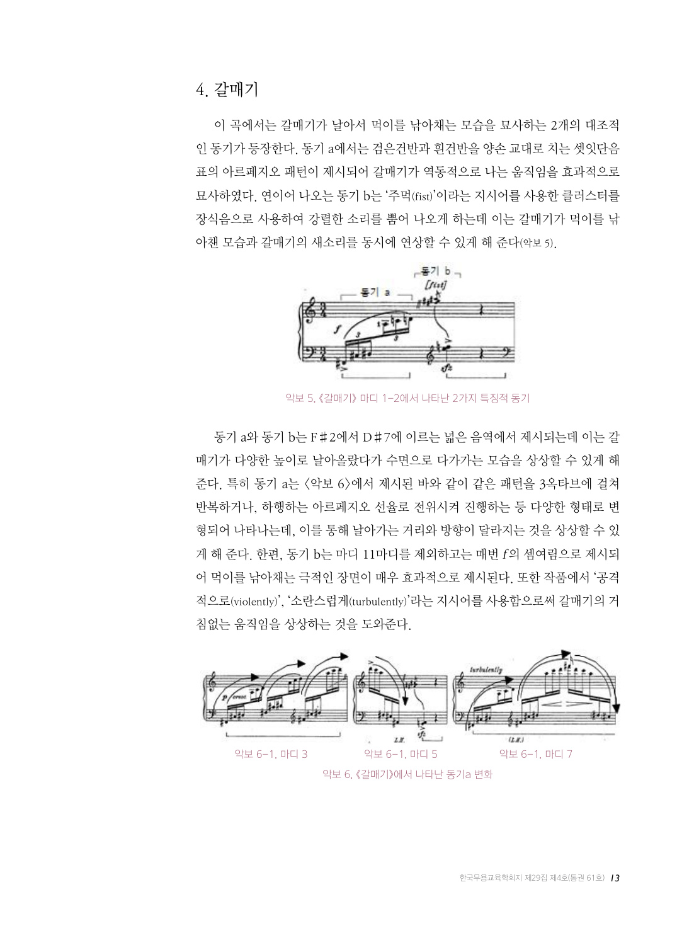이 곡에서는 갈매기가 날아서 먹이를 낚아채는 모습을 묘사하는 2개의 대조적 인 동기가 등장한다. 동기 a에서는 검은건반과 흰건반을 양손 교대로 치는 셋잇단음 표의 아르페지오 패턴이 제시되어 갈매기가 역동적으로 나는 움직임을 효과적으로 묘사하였다. 연이어 나오는 동기 b는 '주먹(fist)'이라는 지시어를 사용한 클러스터를 장식음으로 사용하여 강렬한 소리를 뿜어 나오게 하는데 이는 갈매기가 먹이를 낚 아챈 모습과 갈매기의 새소리를 동시에 연상할 수 있게 해 준다(악보 5).



악보 5. 《갈매기》 마디 1-2에서 나타난 2가지 특징적 동기

동기 a와 동기 b는 F♯2에서 D♯7에 이르는 넓은 음역에서 제시되는데 이는 갈 매기가 다양한 높이로 날아올랐다가 수면으로 다가가는 모습을 상상할 수 있게 해 준다. 특히 동기 a는 <악보 6>에서 제시된 바와 같이 같은 패턴을 3옥타브에 걸쳐 반복하거나, 하행하는 아르페지오 선율로 전위시켜 진행하는 등 다양한 형태로 변 형되어 나타나는데, 이를 통해 날아가는 거리와 방향이 달라지는 것을 상상할 수 있 게 해 준다. 한편, 동기 b는 마디 11마디를 제외하고는 매번 f의 셈여림으로 제시되 어 먹이를 낚아채는 극적인 장면이 매우 효과적으로 제시된다. 또한 작품에서 '공격 적으로(violently)', '소란스럽게(turbulently)'라는 지시어를 사용함으로써 갈매기의 거 침없는 움직임을 상상하는 것을 도와준다.

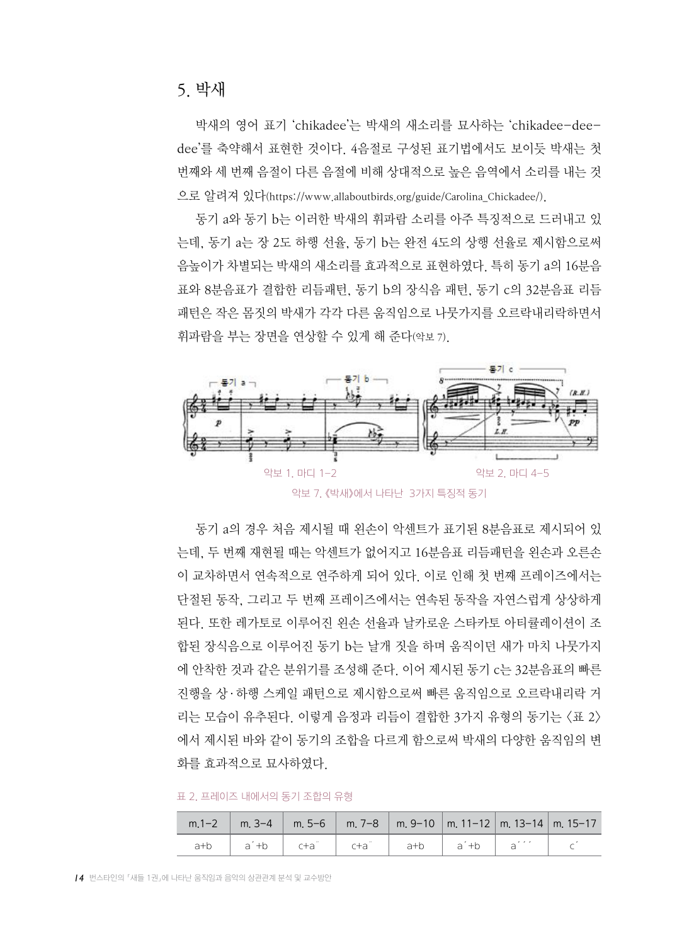박새의 영어 표기 'chikadee'는 박새의 새소리를 묘사하는 'chikadee-deedee'를 축약해서 표현한 것이다. 4음절로 구성된 표기법에서도 보이듯 박새는 첫 번째와 세 번째 음절이 다른 음절에 비해 상대적으로 높은 음역에서 소리를 내는 것 으로 알려져 있다(https://www.allaboutbirds.org/guide/Carolina\_Chickadee/).

동기 a와 동기 b는 이러한 박새의 휘파람 소리를 아주 특징적으로 드러내고 있 는데, 동기 a는 장 2도 하행 선율, 동기 b는 완전 4도의 상행 선율로 제시함으로써 음높이가 차별되는 박새의 새소리를 효과적으로 표현하였다. 특히 동기 a의 16분음 표와 8분음표가 결합한 리듬패턴, 동기 b의 장식음 패턴, 동기 c의 32분음표 리듬 패턴은 작은 몸짓의 박새가 각각 다른 움직임으로 나뭇가지를 오르락내리락하면서 휘파람을 부는 장면을 연상할 수 있게 해 준다(악보 7).



악보 7. 《박새》에서 나타난 3가지 특징적 동기

동기 a의 경우 처음 제시될 때 왼손이 악센트가 표기된 8분음표로 제시되어 있 는데, 두 번째 재현될 때는 악센트가 없어지고 16분음표 리듬패턴을 왼손과 오른손 이 교차하면서 연속적으로 연주하게 되어 있다. 이로 인해 첫 번째 프레이즈에서는 단절된 동작, 그리고 두 번째 프레이즈에서는 연속된 동작을 자연스럽게 상상하게 된다. 또한 레가토로 이루어진 왼손 선율과 날카로운 스타카토 아티큘레이션이 조 합된 장식음으로 이루어진 동기 b는 날개 짓을 하며 움직이던 새가 마치 나뭇가지 에 안착한 것과 같은 분위기를 조성해 준다. 이어 제시된 동기 c는 32분음표의 빠른 진행을 상·하행 스케일 패턴으로 제시함으로써 빠른 움직임으로 오르락내리락 거 리는 모습이 유추된다. 이렇게 음정과 리듬이 결합한 3가지 유형의 동기는 <표 2> 에서 제시된 바와 같이 동기의 조합을 다르게 함으로써 박새의 다양한 움직임의 변 화를 효과적으로 묘사하였다.

표 2. 프레이즈 내에서의 동기 조합의 유형

|  |  |  | m.1-2   m. 3-4   m. 5-6   m. 7-8   m. 9-10   m. 11-12   m. 13-14   m. 15-17                                          |  |
|--|--|--|----------------------------------------------------------------------------------------------------------------------|--|
|  |  |  | a+b $a^2+b$ c+a <sup>n</sup> c+a <sup>n</sup> c+a <sup>n</sup> a+b a <sup>2</sup> +b a <sup>222</sup> c <sup>2</sup> |  |

*14* 번스타인의 「새들 1권」에 나타난 움직임과 음악의 상관관계 분석 및 교수방안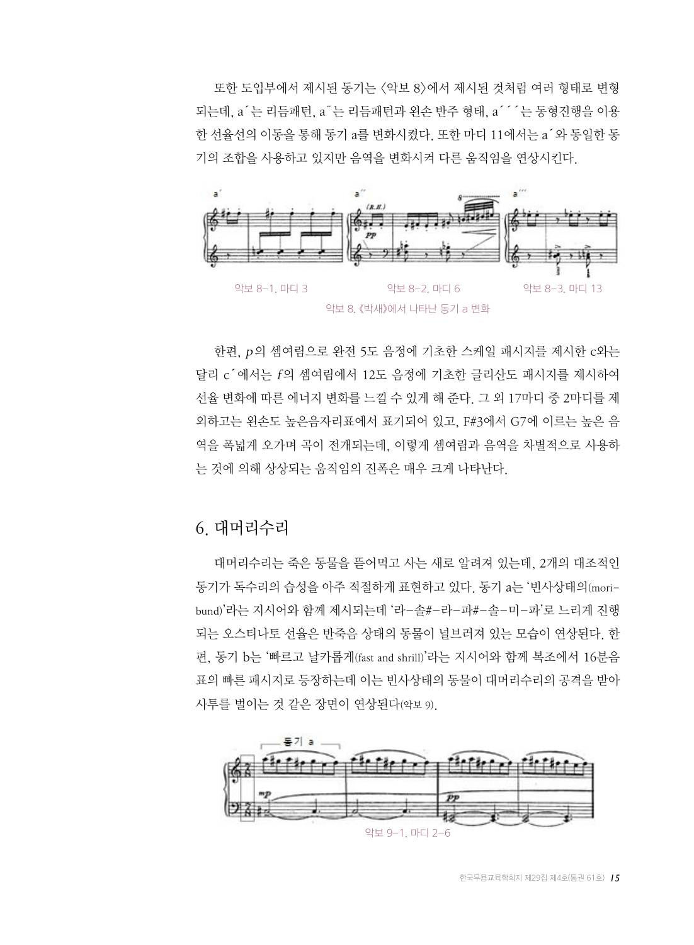또한 도입부에서 제시된 동기는 <악보 8>에서 제시된 것처럼 여러 형태로 변형 되는데, a´는 리듬패턴, a˝는 리듬패턴과 왼손 반주 형태, a´´´는 동형진행을 이용 한 선율선의 이동을 통해 동기 a를 변화시켰다. 또한 마디 11에서는 a´와 동일한 동 기의 조합을 사용하고 있지만 음역을 변화시켜 다른 움직임을 연상시킨다.



한편, p의 셈여림으로 완전 5도 음정에 기초한 스케일 패시지를 제시한 c와는 달리 c´에서는 f의 셈여림에서 12도 음정에 기초한 글리산도 패시지를 제시하여 선율 변화에 따른 에너지 변화를 느낄 수 있게 해 준다. 그 외 17마디 중 2마디를 제 외하고는 왼손도 높은음자리표에서 표기되어 있고, F#3에서 G7에 이르는 높은 음 역을 폭넓게 오가며 곡이 전개되는데, 이렇게 셈여림과 음역을 차별적으로 사용하 는 것에 의해 상상되는 움직임의 진폭은 매우 크게 나타난다.

#### 6. 대머리수리

대머리수리는 죽은 동물을 뜯어먹고 사는 새로 알려져 있는데, 2개의 대조적인 동기가 독수리의 습성을 아주 적절하게 표현하고 있다. 동기 a는 '빈사상태의(moribund)'라는 지시어와 함께 제시되는데 '라-솔#-라-파#-솔-미-파'로 느리게 진행 되는 오스티나토 선율은 반죽음 상태의 동물이 널브러져 있는 모습이 연상된다. 한 편, 동기 b는 '빠르고 날카롭게(fast and shrill)'라는 지시어와 함께 복조에서 16분음 표의 빠른 패시지로 등장하는데 이는 빈사상태의 동물이 대머리수리의 공격을 받아 사투를 벌이는 것 같은 장면이 연상된다(악보 9).

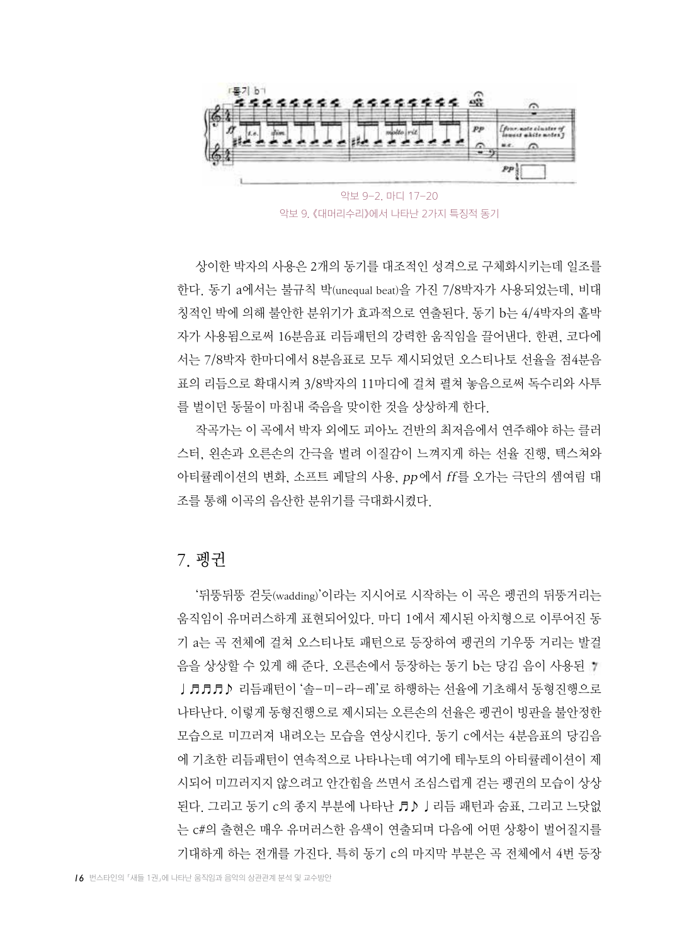

악보 9. 《대머리수리》에서 나타난 2가지 특징적 동기

상이한 박자의 사용은 2개의 동기를 대조적인 성격으로 구체화시키는데 일조를 한다. 동기 a에서는 불규칙 박(unequal beat)을 가진 7/8박자가 사용되었는데, 비대 칭적인 박에 의해 불안한 분위기가 효과적으로 연출된다. 동기 b는 4/4박자의 홑박 자가 사용됨으로써 16분음표 리듬패턴의 강력한 움직임을 끌어낸다. 한편, 코다에 서는 7/8박자 한마디에서 8분음표로 모두 제시되었던 오스티나토 선율을 점4분음 표의 리듬으로 확대시켜 3/8박자의 11마디에 걸쳐 펼쳐 놓음으로써 독수리와 사투 를 벌이던 동물이 마침내 죽음을 맞이한 것을 상상하게 한다.

작곡가는 이 곡에서 박자 외에도 피아노 건반의 최저음에서 연주해야 하는 클러 스터, 왼손과 오른손의 간극을 벌려 이질감이 느껴지게 하는 선율 진행, 텍스쳐와 아티큘레이션의 변화, 소프트 페달의 사용, pp에서 ff를 오가는 극단의 셈여림 대 조를 통해 이곡의 음산한 분위기를 극대화시켰다.

#### 7. 펭귄

'뒤뚱뒤뚱 걷듯(wadding)'이라는 지시어로 시작하는 이 곡은 펭귄의 뒤뚱거리는 움직임이 유머러스하게 표현되어있다. 마디 1에서 제시된 아치형으로 이루어진 동 기 a는 곡 전체에 걸쳐 오스티나토 패턴으로 등장하여 펭귄의 기우뚱 거리는 발걸 음을 상상할 수 있게 해 준다. 오른손에서 등장하는 동기 b는 당김 음이 사용된 J♬♬♬♪ 리듬패턴이 '솔-미-라-레'로 하행하는 선율에 기초해서 동형진행으로 나타난다. 이렇게 동형진행으로 제시되는 오른손의 선율은 펭귄이 빙판을 불안정한 모습으로 미끄러져 내려오는 모습을 연상시킨다. 동기 c에서는 4분음표의 당김음 에 기초한 리듬패턴이 연속적으로 나타나는데 여기에 테누토의 아티큘레이션이 제 시되어 미끄러지지 않으려고 안간힘을 쓰면서 조심스럽게 걷는 펭귄의 모습이 상상 된다. 그리고 동기 c의 종지 부분에 나타난 ♬♪♩리듬 패턴과 숨표, 그리고 느닷없 는 c#의 출현은 매우 유머러스한 음색이 연출되며 다음에 어떤 상황이 벌어질지를 기대하게 하는 전개를 가진다. 특히 동기 c의 마지막 부분은 곡 전체에서 4번 등장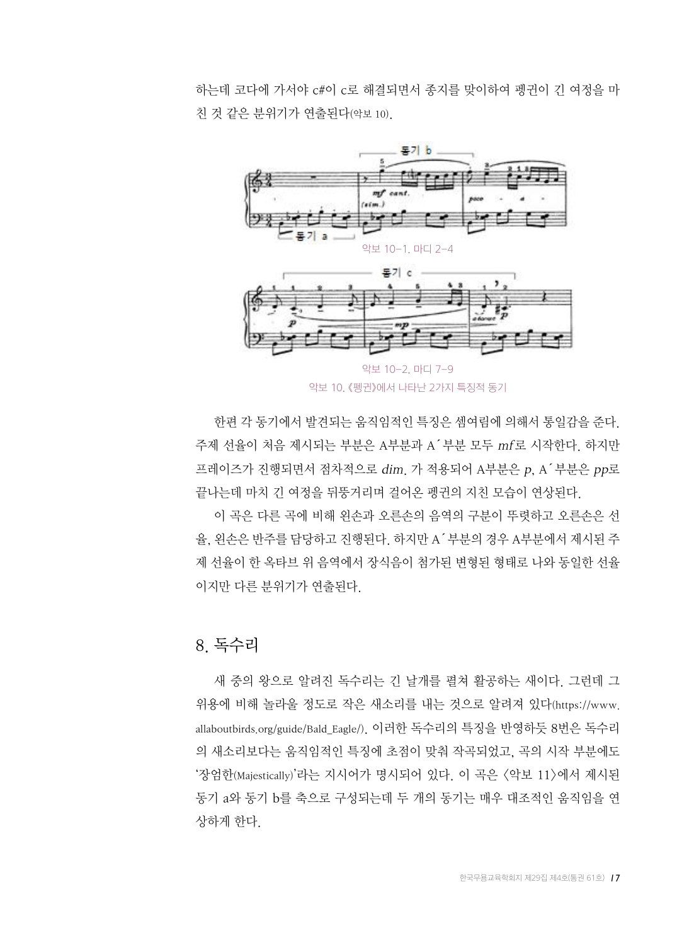하는데 코다에 가서야 c#이 c로 해결되면서 종지를 맞이하여 펭귄이 긴 여정을 마 친 것 같은 분위기가 연출된다(악보 10).



악보 10. 《펭귄》에서 나타난 2가지 특징적 동기

한편 각 동기에서 발견되는 움직임적인 특징은 셈여림에 의해서 통일감을 준다. 주제 선율이 처음 제시되는 부분은 A부분과 A´부분 모두 mf로 시작한다. 하지만 프레이즈가 진행되면서 점차적으로 dim. 가 적용되어 A부분은 p, A´부분은 pp로 끝나는데 마치 긴 여정을 뒤뚱거리며 걸어온 펭귄의 지친 모습이 연상된다.

이 곡은 다른 곡에 비해 왼손과 오른손의 음역의 구분이 뚜렷하고 오른손은 선 율, 왼손은 반주를 담당하고 진행된다. 하지만 A´부분의 경우 A부분에서 제시된 주 제 선율이 한 옥타브 위 음역에서 장식음이 첨가된 변형된 형태로 나와 동일한 선율 이지만 다른 분위기가 연출된다.

#### 8. 독수리

새 중의 왕으로 알려진 독수리는 긴 날개를 펼쳐 활공하는 새이다. 그런데 그 위용에 비해 놀라울 정도로 작은 새소리를 내는 것으로 알려져 있다(https://www. allaboutbirds.org/guide/Bald\_Eagle/). 이러한 독수리의 특징을 반영하듯 8번은 독수리 의 새소리보다는 움직임적인 특징에 초점이 맞춰 작곡되었고, 곡의 시작 부분에도 '장엄한(Majestically)'라는 지시어가 명시되어 있다. 이 곡은 <악보 11>에서 제시된 동기 a와 동기 b를 축으로 구성되는데 두 개의 동기는 매우 대조적인 움직임을 연 상하게 한다.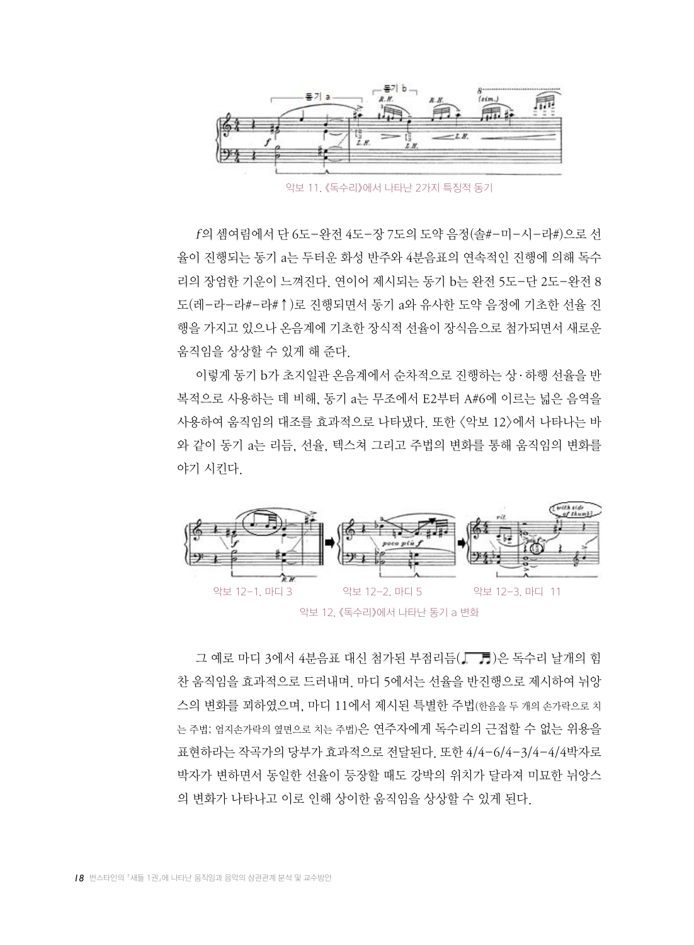

악보 11. 《독수리》에서 나타난 2가지 특징적 동기

f의 셈여림에서 단 6도-완전 4도-장 7도의 도약 음정(솔#-미-시-라#)으로 선 율이 진행되는 동기 a는 두터운 화성 반주와 4분음표의 연속적인 진행에 의해 독수 리의 장엄한 기운이 느껴진다. 연이어 제시되는 동기 b는 완전 5도-단 2도-완전 8 도(레-라-라#-라#↑)로 진행되면서 동기 a와 유사한 도약 음정에 기초한 선율 진 행을 가지고 있으나 온음계에 기초한 장식적 선율이 장식음으로 첨가되면서 새로운 움직임을 상상할 수 있게 해 준다.

이렇게 동기 b가 초지일관 온음계에서 순차적으로 진행하는 상·하행 선율을 반 복적으로 사용하는 데 비해, 동기 a는 무조에서 E2부터 A#6에 이르는 넓은 음역을 사용하여 움직임의 대조를 효과적으로 나타냈다. 또한 <악보 12>에서 나타나는 바 와 같이 동기 a는 리듬, 선율, 텍스쳐 그리고 주법의 변화를 통해 움직임의 변화를 야기 시킨다.



그 예로 마디 3에서 4분음표 대신 첨가된 부점리듬( ██)은 독수리 날개의 힘 찬 움직임을 효과적으로 드러내며. 마디 5에서는 선율을 반진행으로 제시하여 뉘앙 스의 변화를 꾀하였으며, 마디 11에서 제시된 특별한 주법(한음을 두 개의 손가락으로 치 는 주법; 엄지손가락의 옆면으로 치는 주법)은 연주자에게 독수리의 근접할 수 없는 위용을 표현하라는 작곡가의 당부가 효과적으로 전달된다. 또한 4/4-6/4-3/4-4/4박자로 박자가 변하면서 동일한 선율이 등장할 때도 강박의 위치가 달라져 미묘한 뉘앙스 의 변화가 나타나고 이로 인해 상이한 움직임을 상상할 수 있게 된다.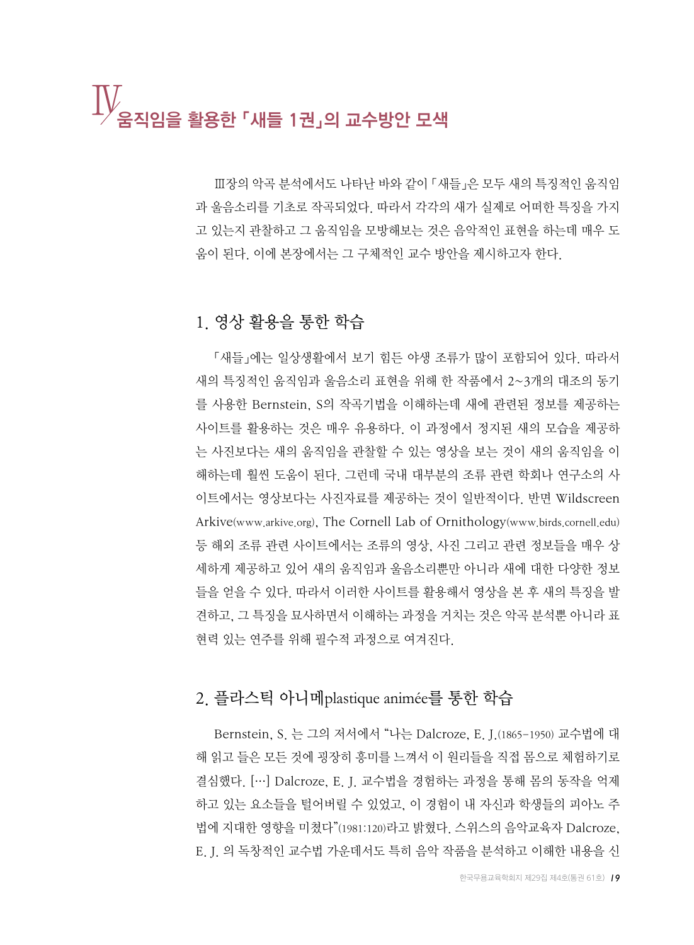## Ⅳ움직임을 활용한 「새들 1권」의 교수방안 모색

Ⅲ장의 악곡 분석에서도 나타난 바와 같이 「새들」은 모두 새의 특징적인 움직임 과 울음소리를 기초로 작곡되었다. 따라서 각각의 새가 실제로 어떠한 특징을 가지 고 있는지 관찰하고 그 움직임을 모방해보는 것은 음악적인 표현을 하는데 매우 도 움이 된다. 이에 본장에서는 그 구체적인 교수 방안을 제시하고자 한다.

#### 1. 영상 활용을 통한 학습

「새들」에는 일상생활에서 보기 힘든 야생 조류가 많이 포함되어 있다. 따라서 새의 특징적인 움직임과 울음소리 표현을 위해 한 작품에서 2~3개의 대조의 동기 를 사용한 Bernstein, S의 작곡기법을 이해하는데 새에 관련된 정보를 제공하는 사이트를 활용하는 것은 매우 유용하다. 이 과정에서 정지된 새의 모습을 제공하 는 사진보다는 새의 움직임을 관찰할 수 있는 영상을 보는 것이 새의 움직임을 이 해하는데 훨씬 도움이 된다. 그런데 국내 대부분의 조류 관련 학회나 연구소의 사 이트에서는 영상보다는 사진자료를 제공하는 것이 일반적이다. 반면 Wildscreen Arkive(www.arkive.org), The Cornell Lab of Ornithology(www.birds.cornell.edu) 등 해외 조류 관련 사이트에서는 조류의 영상, 사진 그리고 관련 정보들을 매우 상 세하게 제공하고 있어 새의 움직임과 울음소리뿐만 아니라 새에 대한 다양한 정보 들을 얻을 수 있다. 따라서 이러한 사이트를 활용해서 영상을 본 후 새의 특징을 발 견하고, 그 특징을 묘사하면서 이해하는 과정을 거치는 것은 악곡 분석뿐 아니라 표 현력 있는 연주를 위해 필수적 과정으로 여겨진다.

#### 2. 플라스틱 아니메plastique animée를 통한 학습

Bernstein, S. 는 그의 저서에서 "나는 Dalcroze, E. J.(1865-1950) 교수법에 대 해 읽고 들은 모든 것에 굉장히 흥미를 느껴서 이 원리들을 직접 몸으로 체험하기로 결심했다. […] Dalcroze, E. J. 교수법을 경험하는 과정을 통해 몸의 동작을 억제 하고 있는 요소들을 털어버릴 수 있었고, 이 경험이 내 자신과 학생들의 피아노 주 법에 지대한 영향을 미쳤다"(1981:120)라고 밝혔다. 스위스의 음악교육자 Dalcroze, E. J. 의 독창적인 교수법 가운데서도 특히 음악 작품을 분석하고 이해한 내용을 신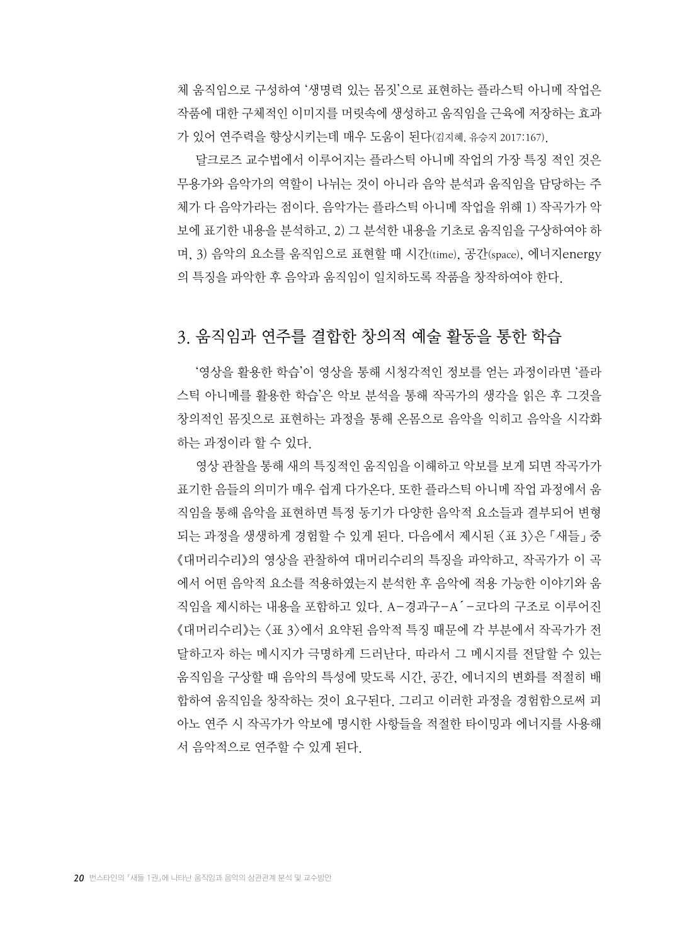체 움직임으로 구성하여 '생명력 있는 몸짓'으로 표현하는 플라스틱 아니메 작업은 작품에 대한 구체적인 이미지를 머릿속에 생성하고 움직임을 근육에 저장하는 효과 가 있어 연주력을 향상시키는데 매우 도움이 된다(김지혜, 유승지 2017:167).

달크로즈 교수법에서 이루어지는 플라스틱 아니메 작업의 가장 특징 적인 것은 무용가와 음악가의 역할이 나뉘는 것이 아니라 음악 분석과 움직임을 담당하는 주 체가 다 음악가라는 점이다. 음악가는 플라스틱 아니메 작업을 위해 1) 작곡가가 악 보에 표기한 내용을 분석하고, 2) 그 분석한 내용을 기초로 움직임을 구상하여야 하 며, 3) 음악의 요소를 움직임으로 표현할 때 시간(time), 공간(space), 에너지energy 의 특징을 파악한 후 음악과 움직임이 일치하도록 작품을 창작하여야 한다.

#### 3. 움직임과 연주를 결합한 창의적 예술 활동을 통한 학습

'영상을 활용한 학습'이 영상을 통해 시청각적인 정보를 얻는 과정이라면 '플라 스틱 아니메를 활용한 학습'은 악보 분석을 통해 작곡가의 생각을 읽은 후 그것을 창의적인 몸짓으로 표현하는 과정을 통해 온몸으로 음악을 익히고 음악을 시각화 하는 과정이라 할 수 있다.

영상 관찰을 통해 새의 특징적인 움직임을 이해하고 악보를 보게 되면 작곡가가 표기한 음들의 의미가 매우 쉽게 다가온다. 또한 플라스틱 아니메 작업 과정에서 움 직임을 통해 음악을 표현하면 특정 동기가 다양한 음악적 요소들과 결부되어 변형 되는 과정을 생생하게 경험할 수 있게 된다. 다음에서 제시된 <표 3>은 「새들」 중 《대머리수리》의 영상을 관찰하여 대머리수리의 특징을 파악하고, 작곡가가 이 곡 에서 어떤 음악적 요소를 적용하였는지 분석한 후 음악에 적용 가능한 이야기와 움 직임을 제시하는 내용을 포함하고 있다. A-경과구-A´-코다의 구조로 이루어진 《대머리수리》는 <표 3>에서 요약된 음악적 특징 때문에 각 부분에서 작곡가가 전 달하고자 하는 메시지가 극명하게 드러난다. 따라서 그 메시지를 전달할 수 있는 움직임을 구상할 때 음악의 특성에 맞도록 시간, 공간, 에너지의 변화를 적절히 배 합하여 움직임을 창작하는 것이 요구된다. 그리고 이러한 과정을 경험함으로써 피 아노 연주 시 작곡가가 악보에 명시한 사항들을 적절한 타이밍과 에너지를 사용해 서 음악적으로 연주할 수 있게 된다.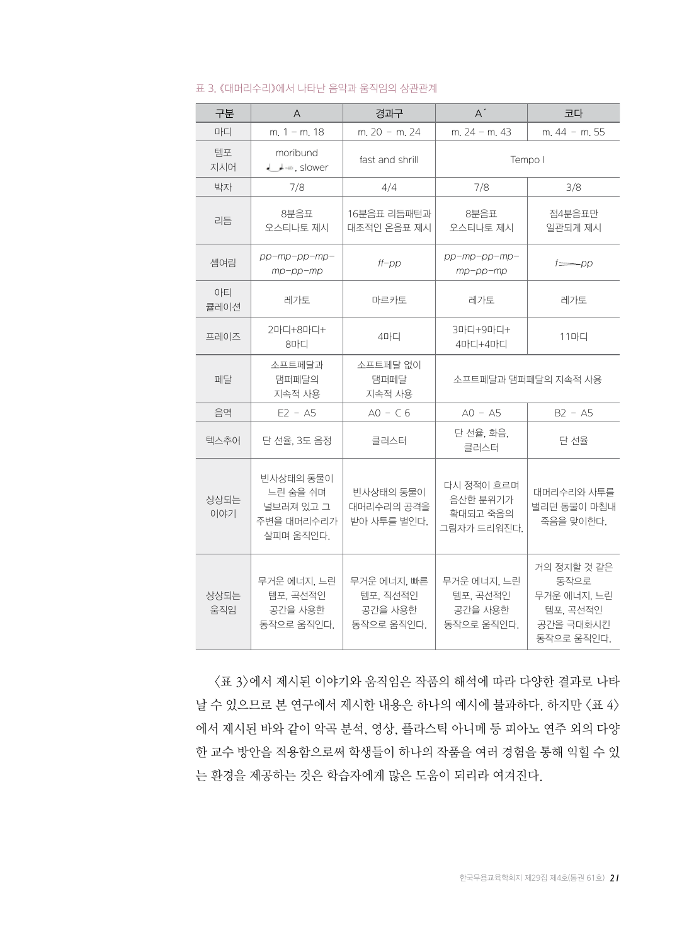| 구분          | A                                                             | 경과구                                              | $A^{\prime}$                                      | 코다                                                                        |
|-------------|---------------------------------------------------------------|--------------------------------------------------|---------------------------------------------------|---------------------------------------------------------------------------|
| 마디          | m, $1 - m$ , 18                                               | m. 20 - m. 24                                    | m. $24 - m$ . 43                                  | m. 44 - m. 55                                                             |
| 템포<br>지시어   | moribund<br>$\downarrow$ + = $\circ$ , slower                 | fast and shrill                                  | Tempo I                                           |                                                                           |
| 박자          | 7/8                                                           | 4/4                                              | 7/8                                               | 3/8                                                                       |
| 리듬          | 8분음표<br>오스티나토 제시                                              | 16분음표 리듬패턴과<br>대조적인 온음표 제시                       | 8분음표<br>오스티나토 제시                                  | 점4분음표만<br>일관되게 제시                                                         |
| 셈여림         | pp-mp-pp-mp-<br>$mp$ -pp- $mp$                                | $ff$ - $pp$                                      | $pp$ -mp-pp-mp-<br>$mp$ -pp- $mp$                 | f=pp                                                                      |
| 아티<br>큘레이션  | 레가토                                                           | 마르카토                                             | 레가토                                               | 레가토                                                                       |
| 프레이즈        | 2마디+8마디+<br>8마디                                               | 4마디                                              | 3마디+9마디+<br>4마디+4마디                               | 11마디                                                                      |
| 페달          | 소프트페달과<br>댐퍼페달의<br>지속적 사용                                     | 소프트페달 없이<br>댐퍼페달<br>지속적 사용                       |                                                   | 소프트페달과 댐퍼페달의 지속적 사용                                                       |
| 음역          | $E2 - A5$                                                     | $AO - C6$                                        | $AO - AS$                                         | $B2 - A5$                                                                 |
| 텍스추어        | 단 선율, 3도 음정                                                   | 클러스터                                             | 단 선율, 화음,<br>클러스터                                 | 단 선율                                                                      |
| 상상되는<br>이야기 | 빈사상태의 동물이<br>느린 숨을 쉬며<br>널브러져 있고 그<br>주변을 대머리수리가<br>살피며 움직인다. | 빈사상태의 동물이<br>대머리수리의 공격을<br>받아 사투를 벌인다.           | 다시 정적이 흐르며<br>음산한 분위기가<br>확대되고 죽음의<br>그림자가 드리워진다. | 대머리수리와 사투를<br>벌리던 동물이 마침내<br>죽음을 맞이한다.                                    |
| 상상되는<br>움직임 | 무거운 에너지, 느린<br>템포. 곡선적인<br>공간을 사용한<br>동작으로 움직인다.              | 무거운 에너지, 빠른<br>템포, 직선적인<br>공간을 사용한<br>동작으로 움직인다. | 무거운 에너지, 느린<br>템포, 곡선적인<br>공간을 사용한<br>동작으로 움직인다.  | 거의 정지할 것 같은<br>동작으로<br>무거운 에너지, 느린<br>템포, 곡선적인<br>공간을 극대화시킨<br>동작으로 움직인다. |

#### 표 3. 《대머리수리》에서 나타난 음악과 움직임의 상관관계

<표 3>에서 제시된 이야기와 움직임은 작품의 해석에 따라 다양한 결과로 나타 날 수 있으므로 본 연구에서 제시한 내용은 하나의 예시에 불과하다. 하지만 <표 4> 에서 제시된 바와 같이 악곡 분석, 영상, 플라스틱 아니메 등 피아노 연주 외의 다양 한 교수 방안을 적용함으로써 학생들이 하나의 작품을 여러 경험을 통해 익힐 수 있 는 환경을 제공하는 것은 학습자에게 많은 도움이 되리라 여겨진다.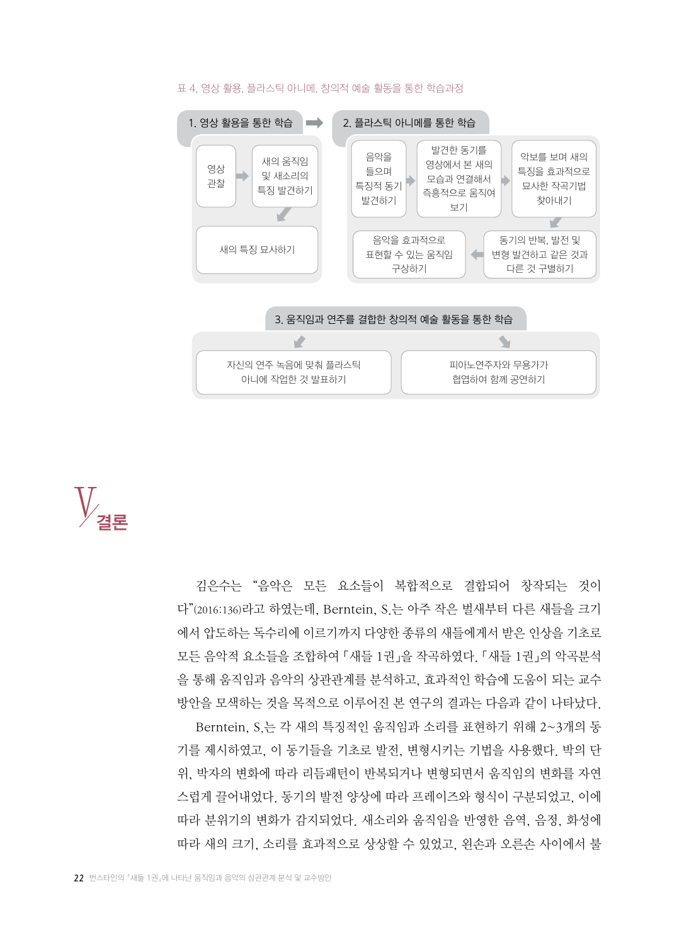

#### 표 4. 영상 활용, 플라스틱 아니메, 창의적 예술 활동을 통한 학습과정



김은수는 "음악은 모든 요소들이 복합적으로 결합되어 창작되는 것이 다"(2016:136)라고 하였는데, Berntein, S.는 아주 작은 벌새부터 다른 새들을 크기 에서 압도하는 독수리에 이르기까지 다양한 종류의 새들에게서 받은 인상을 기초로 모든 음악적 요소들을 조합하여 「새들 1권」을 작곡하였다. 「새들 1권」의 악곡분석 을 통해 움직임과 음악의 상관관계를 분석하고, 효과적인 학습에 도움이 되는 교수 방안을 모색하는 것을 목적으로 이루어진 본 연구의 결과는 다음과 같이 나타났다.

Berntein, S.는 각 새의 특징적인 움직임과 소리를 표현하기 위해 2~3개의 동 기를 제시하였고, 이 동기들을 기초로 발전, 변형시키는 기법을 사용했다. 박의 단 위, 박자의 변화에 따라 리듬패턴이 반복되거나 변형되면서 움직임의 변화를 자연 스럽게 끌어내었다. 동기의 발전 양상에 따라 프레이즈와 형식이 구분되었고, 이에 따라 분위기의 변화가 감지되었다. 새소리와 움직임을 반영한 음역, 음정, 화성에 따라 새의 크기, 소리를 효과적으로 상상할 수 있었고, 왼손과 오른손 사이에서 불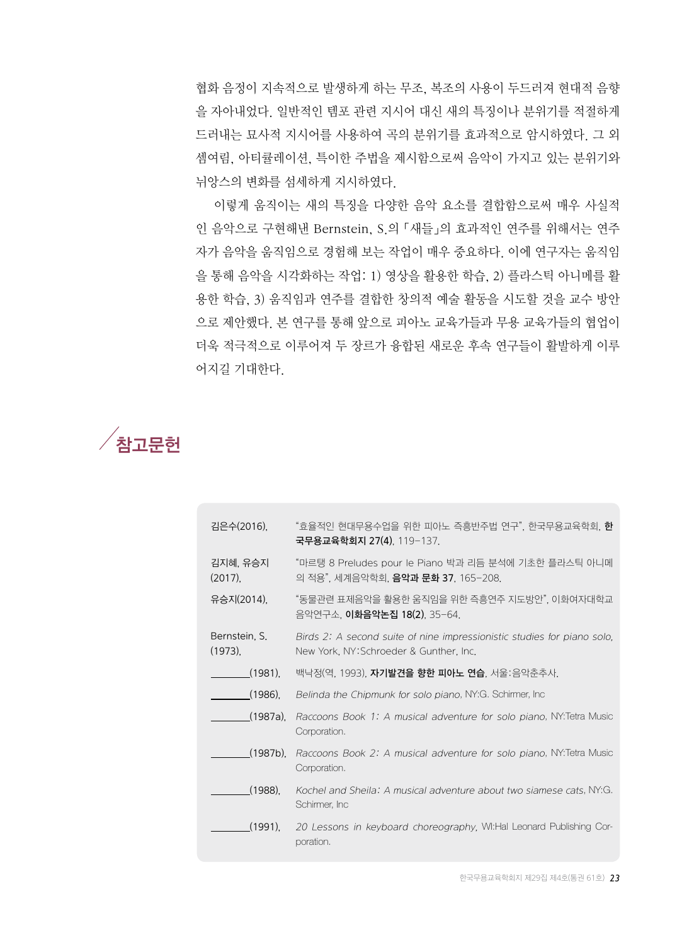협화 음정이 지속적으로 발생하게 하는 무조, 복조의 사용이 두드러져 현대적 음향 을 자아내었다. 일반적인 템포 관련 지시어 대신 새의 특징이나 분위기를 적절하게 드러내는 묘사적 지시어를 사용하여 곡의 분위기를 효과적으로 암시하였다. 그 외 셈여림, 아티큘레이션, 특이한 주법을 제시함으로써 음악이 가지고 있는 분위기와 뉘앙스의 변화를 섬세하게 지시하였다.

이렇게 움직이는 새의 특징을 다양한 음악 요소를 결합함으로써 매우 사실적 인 음악으로 구현해낸 Bernstein, S.의 「새들」의 효과적인 연주를 위해서는 연주 자가 음악을 움직임으로 경험해 보는 작업이 매우 중요하다. 이에 연구자는 움직임 을 통해 음악을 시각화하는 작업: 1) 영상을 활용한 학습, 2) 플라스틱 아니메를 활 용한 학습, 3) 움직임과 연주를 결합한 창의적 예술 활동을 시도할 것을 교수 방안 으로 제안했다. 본 연구를 통해 앞으로 피아노 교육가들과 무용 교육가들의 협업이 더욱 적극적으로 이루어져 두 장르가 융합된 새로운 후속 연구들이 활발하게 이루 어지길 기대한다.



| 김은수(2016),                  | "효율적인 현대무용수업을 위한 피아노 즉흥반주법 연구", 한국무용교육학회, <b>한</b><br>국무용교육학회지 27(4), 119-137.                                     |
|-----------------------------|--------------------------------------------------------------------------------------------------------------------|
| 김지혜, 유승지<br>$(2017)$ .      | "마르탱 8 Preludes pour le Piano 박과 리듬 분석에 기초한 플라스틱 아니메<br>의 적용", 세계음악학회, <b>음악과 문화 37</b> , 165-208.                 |
| 유승지(2014),                  | "동물관련 표제음악을 활용한 움직임을 위한 즉흥연주 지도방안", 이화여자대학교<br>음악연구소, 이화음악논집 18(2), 35-64.                                         |
| Bernstein, S.<br>$(1973)$ , | Birds 2: A second suite of nine impressionistic studies for piano solo,<br>New York, NY: Schroeder & Gunther, Inc. |
| $(1981)$ .                  | 백낙정(역, 1993), <b>자기발견을 향한 피아노 연습</b> , 서울:음악춘추사,                                                                   |
| $(1986)$ .                  | Belinda the Chipmunk for solo piano, NY:G. Schirmer, Inc.                                                          |
| (1987a).                    | Raccoons Book 1: A musical adventure for solo piano, NY: Tetra Music<br>Corporation.                               |
| $(1987b)$ .                 | Raccoons Book 2: A musical adventure for solo piano, NY: Tetra Music<br>Corporation.                               |
| $(1988)$ .                  | Kochel and Sheila: A musical adventure about two siamese cats, NY:G.<br>Schimer, Inc.                              |
| (1991)                      | 20 Lessons in keyboard choreography, WI:Hal Leonard Publishing Cor-<br>poration.                                   |